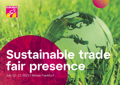

# **Sustainable trade fair presence**

July 13–17, 2022 | Messe Frankfurt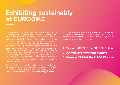### **Exhibiting sustainably at EUROBIKE**

Sustainable actions have been part of everyday practice for EUROBIKE for a very long time and are at the very heart of everything we do. In the move to Frankfurt, we are now going one step further. As an event location, Messe Frankfurt has committed to the goals of the UN Global Compact (an agreement between the UN and businesses) and for years has been performing various measures aimed at sustainable management. Among them are the operation of an on-site photovoltaic plant with an output of 1.5 GWh, the exclusive use of renewable energies and efficient materials management. For its catering requirements, Messe Frankfurt opts for regional partners. This ensures short, lowemission transport routes and fresh products – providing benefits for everyone.

To ensure that the world's leading bicycle trade fair also serves as a role model in matters of sustainability, we need the support of you the exhibitors. Only through joint action will our sustainability philosophy lead to lasting success!

This is why we are sending you a selection of ideas and tips on how you can include the many opportunities of the new trade show location in your plans and make your show presence all the more sustainable.

**1: Measures BEFORE the EUROBIKE show 2: Outward and homeward journeys 3: Measures DURING the EUROBIKE show**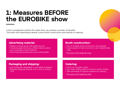### **1: Measures BEFORE the EUROBIKE show**

A few considerations before the trade show can achieve a number of benefits. This starts with advertising material, covers booth construction and extends to catering.

#### **Advertising material:**

- Replace printed goods with digital sources
- Create reusable brochures (without date, location)
- Use sustainable printed materials
- Pack long-lasting giveaways as promotional gifts

#### **Booth construction:**

- Use of reusable stand construction and materials
- Avoid carpets (in Hall 11 and 12) or use Cradle2Cradle mats
- ❭ [This way to the trade fair shop](https://serviceshop.messefrankfurt.com/portallogin?lang=en)

#### **Packaging and shipping:**

- Use biologically degradable or recyclable packaging
- Reassess shipping methods with a view to cutting CO2

#### **Catering:**

- Avoid non-reusable cutlery
- Use water refilling stations instead of plastic bottles
- Take advantage of regional suppliers for catering
- ❭ [This way to the trade fair shop](https://serviceshop.messefrankfurt.com/portallogin?lang=en)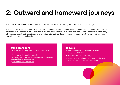## **2: Outward and homeward journeys**

The outward and homeward journeys to and from the trade fair offer great potential for CO2 savings.

The short routes in and around Messe Frankfurt mean that there is no need at all to use a car in the city. Most hotels are located at a maximum of 15 minutes' cycle ride away from the exhibition grounds. Public transport and the bike, of course, present fast, sustainable and practical alternatives. Special tickets for the public transport network also make this an economical option.

#### **Public Transport:**

• Saver tickets for long-distance trains with Deutsche Bahn

❭ [This way to the booking portal](https://www.veranstaltungsticket-bahn.de/?event=3105&language=de)

- Gratis day ticket for the public transport network in the Rhine/Main area for exhibitor
	- ❭ [Info on the RMV day ticket](https://www.rmv.de/c/en/tickets/your-ticket/tickets-overview/day-tickets/day-ticket)

#### **Bicycle:**

- Free bike rental (for 30 min) from DB Call a Bike Code: EUROBIKE2022
- Free EUROBIKE MAP for navigation
- Secure bicycle parking space on the exhibition grounds, free of charge for exhibitors